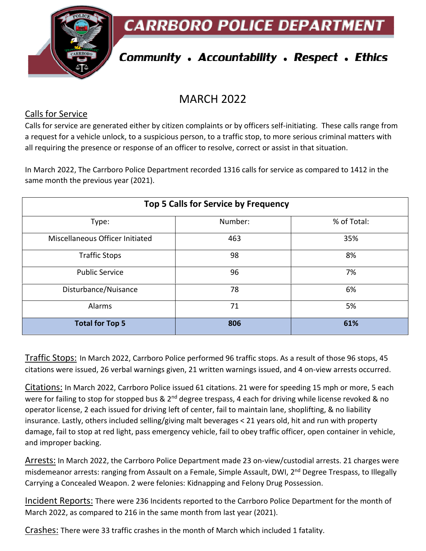**CARRBORO POLICE DEPARTMEN** 



# **Community . Accountability . Respect . Ethics**

# MARCH 2022

#### Calls for Service

Calls for service are generated either by citizen complaints or by officers self-initiating. These calls range from a request for a vehicle unlock, to a suspicious person, to a traffic stop, to more serious criminal matters with all requiring the presence or response of an officer to resolve, correct or assist in that situation.

In March 2022, The Carrboro Police Department recorded 1316 calls for service as compared to 1412 in the same month the previous year (2021).

| Top 5 Calls for Service by Frequency |         |             |  |
|--------------------------------------|---------|-------------|--|
| Type:                                | Number: | % of Total: |  |
| Miscellaneous Officer Initiated      | 463     | 35%         |  |
| <b>Traffic Stops</b>                 | 98      | 8%          |  |
| <b>Public Service</b>                | 96      | 7%          |  |
| Disturbance/Nuisance                 | 78      | 6%          |  |
| Alarms                               | 71      | 5%          |  |
| <b>Total for Top 5</b>               | 806     | 61%         |  |

Traffic Stops: In March 2022, Carrboro Police performed 96 traffic stops. As a result of those 96 stops, 45 citations were issued, 26 verbal warnings given, 21 written warnings issued, and 4 on-view arrests occurred.

Citations: In March 2022, Carrboro Police issued 61 citations. 21 were for speeding 15 mph or more, 5 each were for failing to stop for stopped bus & 2<sup>nd</sup> degree trespass, 4 each for driving while license revoked & no operator license, 2 each issued for driving left of center, fail to maintain lane, shoplifting, & no liability insurance. Lastly, others included selling/giving malt beverages < 21 years old, hit and run with property damage, fail to stop at red light, pass emergency vehicle, fail to obey traffic officer, open container in vehicle, and improper backing.

Arrests: In March 2022, the Carrboro Police Department made 23 on-view/custodial arrests. 21 charges were misdemeanor arrests: ranging from Assault on a Female, Simple Assault, DWI, 2<sup>nd</sup> Degree Trespass, to Illegally Carrying a Concealed Weapon. 2 were felonies: Kidnapping and Felony Drug Possession.

Incident Reports: There were 236 Incidents reported to the Carrboro Police Department for the month of March 2022, as compared to 216 in the same month from last year (2021).

Crashes: There were 33 traffic crashes in the month of March which included 1 fatality.